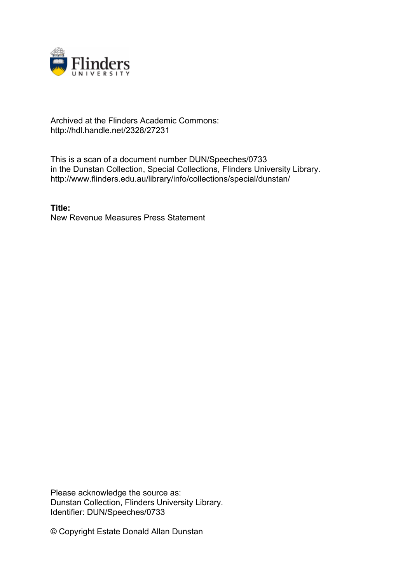

## Archived at the Flinders Academic Commons: http://hdl.handle.net/2328/27231

This is a scan of a document number DUN/Speeches/0733 in the Dunstan Collection, Special Collections, Flinders University Library. http://www.flinders.edu.au/library/info/collections/special/dunstan/

**Title:** New Revenue Measures Press Statement

Please acknowledge the source as: Dunstan Collection, Flinders University Library. Identifier: DUN/Speeches/0733

© Copyright Estate Donald Allan Dunstan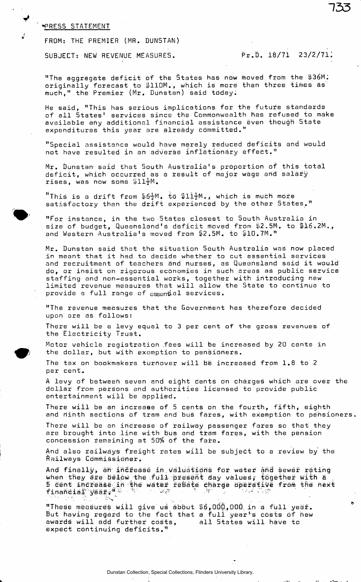## PRESS STATEMENT

FROM: THE PREMIER (MR. DUNSTAN)

SUBJECT: NEW REVENUE MEASURES. Pr.D. 18/71 23/2/71.

"The aggregate deficit of the States has now moved from the \$36M. originally forecast to  $\text{\tt\#110M.}$ , which is more than three times as much," the Premier (Mr. Dunstan) said today.

He said, "This has serious implications for the future standards of all States' services since the Commonwealth has refused to make available any additional financial assistance even though State expenditures this year are already committed."

"Special assistance would have merely reduced deficits and would not have resulted in an adverse inflationary effect."

Mr. Dunstan' said that South Australia's proportion of this total deficit, which occurred as a result of major wage and salary rises, was now some  $$11\frac{1}{2}$ M.

"This is a drift from  $$6\frac{1}{2}$ M. to  $$11\frac{1}{2}$ M., which is much more satisfactory than the drift experienced by the other States."

"For instance, in the two States closest to South Australia in . size of budget, Queensland's deficit moved from \$2.5M. to \$16.2M., and Western Australia's moved from \$2.5M. to \$10.7M."

Mr. Dunstan said that the situation South Australia was now placed in meant that it had to decide whether to cut essential services and recruitment of teachers and nurses, as Queensland said it would do, or insist on rigorous economies in such areas as public service staffing and non-essential works, together with introducing new limited revenue measures that will allow the State to continue to provide a full range of essental services.

"The revenue measures that the Government has therefore decided upon are as follows:

There will be a levy equal to 3 per cent of the gross revenues of the Electricity Trust.

Motor vehicle registration .fees will be increased by 20 cents in the dollar, but with exemption to pensioners.

The tax on bookmakers turnover will be increased from 1.8 to 2 per cent,.

A levy of between seven and eight cents on charges which are over the dollar from persons and authorities licensed to provide public entertainment wili be applied.

There will be an increase of 5 cents on the fourth, fifth, eighth and ninth sections of tram and bus fares, with exemption to pensioners.

There will be an increase of railway passenger fares so that they are brought into line with bus and tram fares, with the pension concession remaining at 50% of the fare.

And also railways freight rates wili be subject to a review by the Railways Commissioner.

And finally, an increase in valuations for water and sewer rating when they are below the full present day values, together with  $\tt t$ 5 cent ihciease in the watfer reiate charge operative from the next financial' year • ' $\sim$  '  $\sim$  '  $\sim$  '  $\sim$  '  $\sim$  '  $\sim$  '  $\sim$  '  $\sim$  '  $\sim$ 

"These measures will give us about S6, OOCi, 000 in a full yeajf. But having regard to the fact that a full year<sup>n</sup>s costs of hew awards wili add further costs, expect continuing deficits." all States will have to